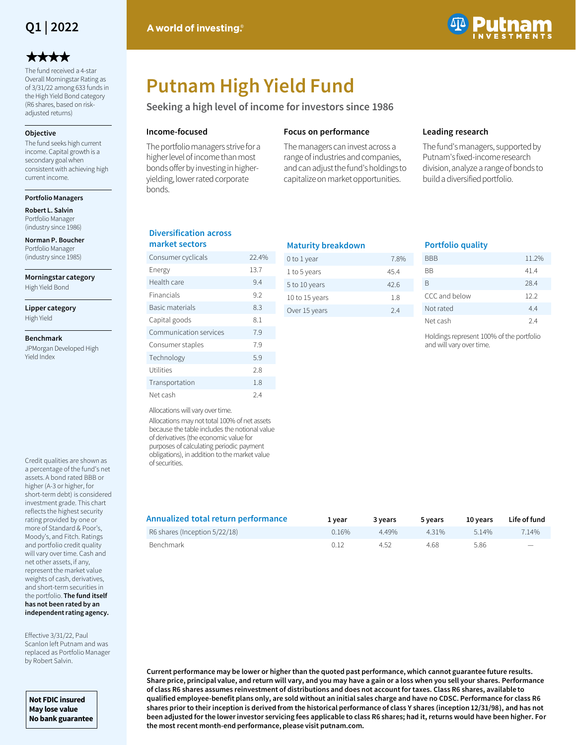

# \*\*\*\*

The fund received a 4-star Overall Morningstar Rating as of 3/31/22 among 633 funds in the High Yield Bond category (R6 shares, based on riskadjusted returns)

### **Objective**

The fund seeks high current income. Capital growth is a secondary goal when consistent with achieving high current income.

**Portfolio Managers**

**Robert L. Salvin** Portfolio Manager (industry since 1986)

**Norman P. Boucher**  Portfolio Manager (industry since 1985)

**Morningstar category**

High Yield Bond

**Lipper category** High Yield

### **Benchmark**

JPMorgan Developed High Yield Index

Credit qualities are shown as a percentage of the fund's net assets. A bond rated BBB or higher (A-3 or higher, for short-term debt) is considered investment grade. This chart reflects the highest security rating provided by one or more of Standard & Poor's, Moody's, and Fitch. Ratings and portfolio credit quality will vary over time. Cash and net other assets, if any, represent the market value weights of cash, derivatives, and short-term securities in the portfolio. **The fund itself has not been rated by an independent rating agency.** 

Effective 3/31/22, Paul Scanlon left Putnam and was replaced as Portfolio Manager by Robert Salvin.

**Not FDIC insured May lose value No bank guarantee**



# **Putnam High Yield Fund**

**Seeking a high level of income for investors since 1986**

### **Income-focused**

The portfolio managers strive for a higher level of income than most bonds offer by investing in higheryielding, lower rated corporate bonds.

### **Focus on performance**

The managers can invest across a range of industries and companies, and can adjust the fund's holdings to capitalize on market opportunities.

### **Leading research**

The fund's managers, supported by Putnam's fixed-income research division, analyze a range of bonds to build a diversified portfolio.

### **Diversification across market sectors**

| Consumer cyclicals     | 22.4% |
|------------------------|-------|
| Energy                 | 13.7  |
| Health care            | 9.4   |
| Financials             | 9.2   |
| Basic materials        | 8.3   |
| Capital goods          | 8.1   |
| Communication services | 7.9   |
| Consumer staples       | 7.9   |
| Technology             | 5.9   |
| Utilities              | 2.8   |
| Transportation         | 1.8   |
| Net cash               | 2.4   |

| <b>Maturity breakdown</b> |      |
|---------------------------|------|
| 0 to 1 year               | 7.8% |
| 1 to 5 years              | 454  |
| 5 to 10 years             | 42 G |
| 10 to 15 years            | 1.8  |
| Over 15 years             | 24   |
|                           |      |

### **Portfolio quality**

| 11.2% |
|-------|
| 41.4  |
| 28.4  |
| 12.2  |
| 4.4   |
| 24    |
|       |

Holdings represent 100% of the portfolio and will vary over time.

Allocations will vary over time.

Allocations may not total 100% of net assets because the table includes the notional value of derivatives (the economic value for purposes of calculating periodic payment obligations), in addition to the market value of securities.

| Annualized total return performance | 1 vear | 3 years | 5 vears | 10 vears | Life of fund |
|-------------------------------------|--------|---------|---------|----------|--------------|
| R6 shares (Inception 5/22/18)       | 0.16%  | 449%    | 4 3 1 % | 514%     | 7.14%        |
| Benchmark                           | 0.12   | 4.52    | 4.68    | 5.86     |              |

**Current performance may be lower or higher than the quoted past performance, which cannot guarantee future results. Share price, principal value, and return will vary, and you may have a gain or a loss when you sell your shares. Performance of class R6 shares assumes reinvestment of distributions and does not account for taxes. Class R6 shares, available to qualified employee-benefit plans only, are sold without an initial sales charge and have no CDSC. Performance for class R6 shares prior to their inception is derived from the historical performance of class Y shares (inception 12/31/98), and has not been adjusted for the lower investor servicing fees applicable to class R6 shares; had it, returns would have been higher. For the most recent month-end performance, please visit putnam.com.**